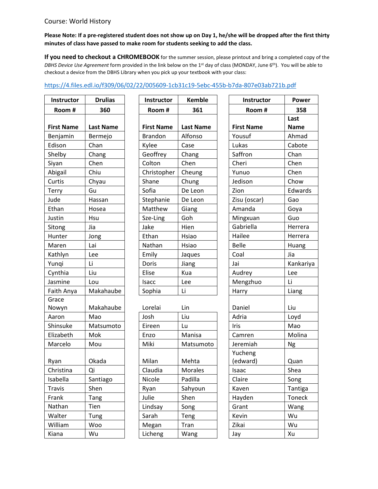## Course: World History

## **Please Note: If a pre-registered student does not show up on Day 1, he/she will be dropped after the first thirty minutes of class have passed to make room for students seeking to add the class.**

**If you need to checkout a CHROMEBOOK** for the summer session, please printout and bring a completed copy of the *DBHS Device Use Agreement* form provided in the link below on the 1st day of class (MONDAY, June 6th). You will be able to checkout a device from the DBHS Library when you pick up your textbook with your class:

## <https://4.files.edl.io/f309/06/02/22/005609-1cb31c19-5ebc-455b-b7da-807e03ab721b.pdf>

| Instructor        | <b>Drulias</b>   | Instructor        | <b>Kem</b>    |  |
|-------------------|------------------|-------------------|---------------|--|
| Room#             | 360              | Room#             | 36            |  |
|                   |                  |                   |               |  |
| <b>First Name</b> | <b>Last Name</b> | <b>First Name</b> | Last Na       |  |
| Benjamin          | Bermejo          | <b>Brandon</b>    | <b>Alfons</b> |  |
| Edison            | Chan             | Kylee             | Case          |  |
| Shelby            | Chang            | Geoffrey          | Chang         |  |
| Siyan             | Chen             | Colton            | Chen          |  |
| Abigail           | Chiu             | Christopher       | Cheun         |  |
| Curtis            | Chyau            | Shane             | Chung         |  |
| Terry             | Gu               | Sofia             | De Leo        |  |
| Jude              | Hassan           | Stephanie         | De Leo        |  |
| Ethan             | Hosea            | Matthew           | Giang         |  |
| Justin            | Hsu              | Sze-Ling          | Goh           |  |
| Sitong            | Jia              | Jake              | Hien          |  |
| Hunter            | Jong             | Ethan             | Hsiao         |  |
| Maren             | Lai              | Nathan            | Hsiao         |  |
| Kathlyn           | Lee              | Emily             | Jaques        |  |
| Yunqi             | Li               | Doris             | Jiang         |  |
| Cynthia           | Liu              | Elise             | Kua           |  |
| Jasmine           | Lou              | Isacc             | Lee           |  |
| Faith Anya        | Makahaube        | Sophia            | Li            |  |
| Grace             |                  |                   |               |  |
| Nowyn             | Makahaube        | Lorelai           | Lin           |  |
| Aaron             | Mao              | Josh              | Liu           |  |
| Shinsuke          | Matsumoto        | Eireen            | Lu            |  |
| Elizabeth         | Mok              | Enzo              | Manisa        |  |
| Marcelo           | Mou              | Miki              | Matsu         |  |
|                   |                  |                   |               |  |
| Ryan              | Okada            | Milan             | Mehta         |  |
| Christina         | Qi               | Claudia           | Morale        |  |
| Isabella          | Santiago         | Nicole            | Padilla       |  |
| <b>Travis</b>     | Shen             | Ryan              | Sahyou        |  |
| Frank             | Tang             | Julie             | Shen          |  |
| Nathan            | Tien             | Lindsay           | Song          |  |
| Walter            | Tung             | Sarah             | Teng          |  |
| William           | Woo              | Megan             | Tran          |  |
| Kiana             | Wu               | Licheng           | Wang          |  |

| Instructor        | <b>Drulias</b>   | <b>Instructor</b> | <b>Kemble</b>    | <b>Instructor</b> | Power               |
|-------------------|------------------|-------------------|------------------|-------------------|---------------------|
| Room#             | 360              | Room#             | 361              | Room#             | 358                 |
| <b>First Name</b> | <b>Last Name</b> | <b>First Name</b> | <b>Last Name</b> | <b>First Name</b> | Last<br><b>Name</b> |
| Benjamin          | Bermejo          | <b>Brandon</b>    | Alfonso          | Yousuf            | Ahmad               |
| Edison            | Chan             | Kylee             | Case             | Lukas             | Cabote              |
| Shelby            | Chang            | Geoffrey          | Chang            | Saffron           | Chan                |
| Siyan             | Chen             | Colton            | Chen             | Cheri             | Chen                |
| Abigail           | Chiu             | Christopher       | Cheung           | Yunuo             | Chen                |
| Curtis            | Chyau            | Shane             | Chung            | Jedison           | Chow                |
| Terry             | Gu               | Sofia             | De Leon          | Zion              | Edward              |
| Jude              | Hassan           | Stephanie         | De Leon          | Zisu (oscar)      | Gao                 |
| Ethan             | Hosea            | Matthew           | Giang            | Amanda            | Goya                |
| Justin            | Hsu              | Sze-Ling          | Goh              | Mingxuan          | Guo                 |
| Sitong            | Jia              | Jake              | Hien             | Gabriella         | Herrera             |
| Hunter            | Jong             | Ethan             | Hsiao            | Hailee            | Herrera             |
| Maren             | Lai              | Nathan            | Hsiao            | <b>Belle</b>      | Huang               |
| Kathlyn           | Lee              | Emily             | Jaques           | Coal              | Jia                 |
| Yunqi             | Li               | Doris             | Jiang            | Jai               | Kankari             |
| Cynthia           | Liu              | Elise             | Kua              | Audrey            | Lee                 |
| Jasmine           | Lou              | Isacc             | Lee              | Mengzhuo          | Li                  |
| Faith Anya        | Makahaube        | Sophia            | Li               | Harry             | Liang               |
| $C$ roco          |                  |                   |                  |                   |                     |

| Nowyn     | Makahaube | Lorelai | Lin            | Daniel      | Liu           |
|-----------|-----------|---------|----------------|-------------|---------------|
| Aaron     | Mao       | Josh    | Liu            | Adria       | Loyd          |
| Shinsuke  | Matsumoto | Eireen  | Lu             | <b>Iris</b> | Mao           |
| Elizabeth | Mok       | Enzo    | Manisa         | Camren      | Molina        |
| Marcelo   | Mou       | Miki    | Matsumoto      | Jeremiah    | Ng            |
|           |           |         |                | Yucheng     |               |
| Ryan      | Okada     | Milan   | Mehta          | (edward)    | Quan          |
| Christina | Qi        | Claudia | <b>Morales</b> | Isaac       | Shea          |
| Isabella  | Santiago  | Nicole  | Padilla        | Claire      | Song          |
| Travis    | Shen      | Ryan    | Sahyoun        | Kaven       | Tantiga       |
| Frank     | Tang      | Julie   | Shen           | Hayden      | <b>Toneck</b> |
| Nathan    | Tien      | Lindsay | Song           | Grant       | Wang          |
| Walter    | Tung      | Sarah   | Teng           | Kevin       | Wu            |
| William   | Woo       | Megan   | Tran           | Zikai       | Wu            |
| Kiana     | Wu        | Licheng | Wang           | Jay         | Xu            |

| Instructor        | <b>Drulias</b>   | Instructor        | <b>Kemble</b>    | Instructor        | Power       |
|-------------------|------------------|-------------------|------------------|-------------------|-------------|
| Room#             | 360              | Room#             | 361              | Room#             | 358         |
|                   |                  |                   |                  |                   | Last        |
| <b>First Name</b> | <b>Last Name</b> | <b>First Name</b> | <b>Last Name</b> | <b>First Name</b> | <b>Name</b> |
| Benjamin          | Bermejo          | <b>Brandon</b>    | Alfonso          | Yousuf            | Ahmad       |
| Edison            | Chan             | Kylee             | Case             | Lukas             | Cabote      |
| Shelby            | Chang            | Geoffrey          | Chang            | Saffron           | Chan        |
| Siyan             | Chen             | Colton            | Chen             | Cheri             | Chen        |
| Abigail           | Chiu             | Christopher       | Cheung           | Yunuo             | Chen        |
| Curtis            | Chyau            | Shane             | Chung            | Jedison           | Chow        |
| Terry             | Gu               | Sofia             | De Leon          | Zion              | Edwards     |
| Jude              | Hassan           | Stephanie         | De Leon          | Zisu (oscar)      | Gao         |
| Ethan             | Hosea            | Matthew           | Giang            | Amanda            | Goya        |
| Justin            | Hsu              | Sze-Ling          | Goh              | Mingxuan          | Guo         |
| Sitong            | Jia              | Jake              | Hien             | Gabriella         | Herrera     |
| Hunter            | Jong             | Ethan             | Hsiao            | Hailee            | Herrera     |
| Maren             | Lai              | Nathan            | Hsiao            | <b>Belle</b>      | Huang       |
| Kathlyn           | Lee              | Emily             | Jaques           | Coal              | Jia         |
| Yungi             | Li               | Doris             | Jiang            | Jai               | Kankariya   |
| Cynthia           | Liu              | Elise             | Kua              | Audrey            | Lee         |
| Jasmine           | Lou              | <b>Isacc</b>      | Lee              | Mengzhuo          | Li          |
| Faith Anya        | Makahaube        | Sophia            | Li               | Harry             | Liang       |
| Grace             |                  |                   |                  |                   |             |
| Nowyn             | Makahaube        | Lorelai           | Lin              | Daniel            | Liu         |
| Aaron             | Mao              | Josh              | Liu              | Adria             | Loyd        |
| Shinsuke          | Matsumoto        | Eireen            | Lu               | Iris              | Mao         |
| Elizabeth         | Mok              | Enzo              | Manisa           | Camren            | Molina      |
| Marcelo           | Mou              | <b>Miki</b>       | Matsumoto        | Jeremiah          | Ng          |
|                   |                  |                   |                  | Yucheng           |             |
| Ryan              | Okada            | Milan             | Mehta            | (edward)          | Quan        |
| Christina         | Qi               | Claudia           | Morales          | Isaac             | Shea        |
| Isabella          | Santiago         | Nicole            | Padilla          | Claire            | Song        |
| Travis            | Shen             | Ryan              | Sahyoun          | Kaven             | Tantiga     |
| Frank             | Tang             | Julie             | Shen             | Hayden            | Toneck      |
| Nathan            | Tien             | Lindsay           | Song             | Grant             | Wang        |
| Walter            | Tung             | Sarah             | Teng             | Kevin             | Wu          |
| William           | Woo              | Megan             | Tran             | Zikai             | Wu          |
| Kiana             | Wu               | Licheng           | Wang             | Jay               | Xu          |